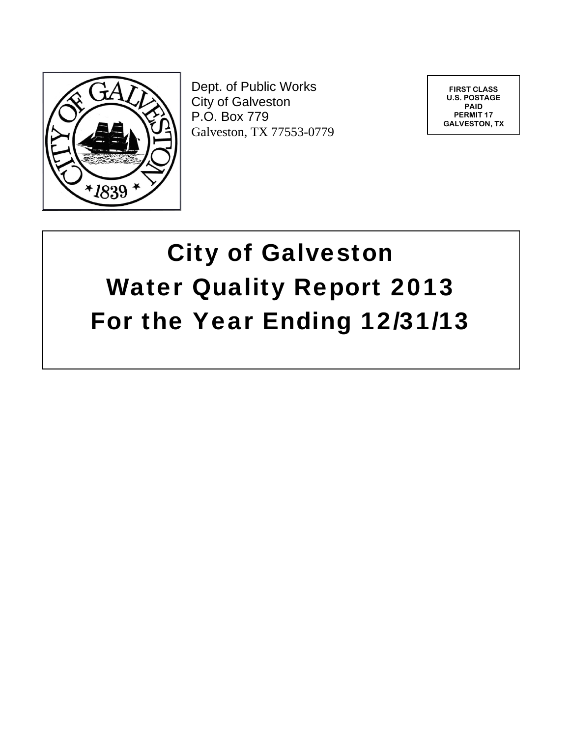

Dept. of Public Works City of Galveston P.O. Box 779 Galveston, TX 77553-0779

**FIRST CLASS U.S. POSTAGE PAID PERMIT 17 GALVESTON, TX** 

# City of Galveston Water Quality Report 2013 For the Year Ending 12/31/13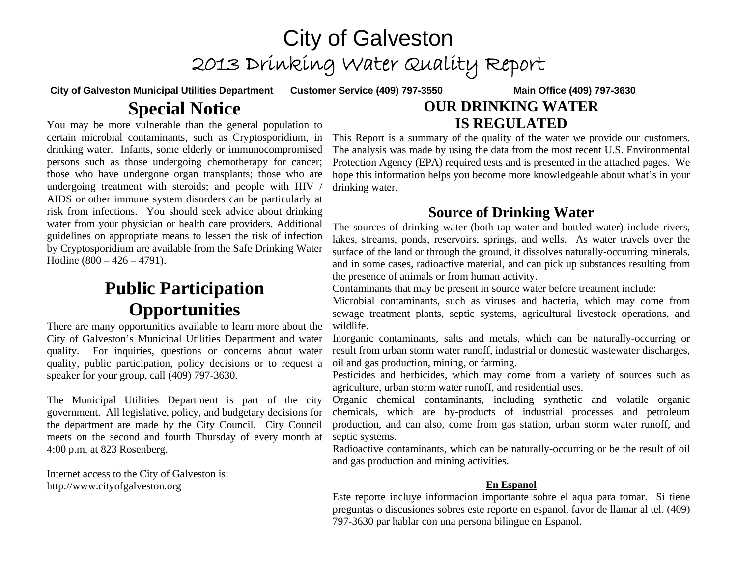# City of Galveston 2013 Drinking Water Quality Report

**City of Galveston Municipal Utilities Department Customer Service (409) 797-3550 Main Office (409) 797-3630** 

# **Special Notice**

You may be more vulnerable than the general population to certain microbial contaminants, such as Cryptosporidium, in drinking water. Infants, some elderly or immunocompromised persons such as those undergoing chemotherapy for cancer; those who have undergone organ transplants; those who are undergoing treatment with steroids; and people with HIV / AIDS or other immune system disorders can be particularly at risk from infections. You should seek advice about drinking water from your physician or health care providers. Additional guidelines on appropriate means to lessen the risk of infection by Cryptosporidium are available from the Safe Drinking Water Hotline  $(800 - 426 - 4791)$ .

# **Public Participation Opportunities**

There are many opportunities available to learn more about the City of Galveston's Municipal Utilities Department and water quality. For inquiries, questions or concerns about water quality, public participation, policy decisions or to request a speaker for your group, call (409) 797-3630.

The Municipal Utilities Department is part of the city government. All legislative, policy, and budgetary decisions for the department are made by the City Council. City Council meets on the second and fourth Thursday of every month at 4:00 p.m. at 823 Rosenberg.

Internet access to the City of Galveston is: http://www.cityofgalveston.org

# **OUR DRINKING WATER IS REGULATED**

This Report is a summary of the quality of the water we provide our customers. The analysis was made by using the data from the most recent U.S. Environmental Protection Agency (EPA) required tests and is presented in the attached pages. We hope this information helps you become more knowledgeable about what's in your drinking water.

# **Source of Drinking Water**

The sources of drinking water (both tap water and bottled water) include rivers, lakes, streams, ponds, reservoirs, springs, and wells. As water travels over the surface of the land or through the ground, it dissolves naturally-occurring minerals, and in some cases, radioactive material, and can pick up substances resulting from the presence of animals or from human activity.

Contaminants that may be present in source water before treatment include:

Microbial contaminants, such as viruses and bacteria, which may come from sewage treatment plants, septic systems, agricultural livestock operations, and wildlife.

Inorganic contaminants, salts and metals, which can be naturally-occurring or result from urban storm water runoff, industrial or domestic wastewater discharges, oil and gas production, mining, or farming.

Pesticides and herbicides, which may come from a variety of sources such as agriculture, urban storm water runoff, and residential uses.

Organic chemical contaminants, including synthetic and volatile organic chemicals, which are by-products of industrial processes and petroleum production, and can also, come from gas station, urban storm water runoff, and septic systems.

Radioactive contaminants, which can be naturally-occurring or be the result of oil and gas production and mining activities.

# **En Espanol**

Este reporte incluye informacion importante sobre el aqua para tomar. Si tiene preguntas o discusiones sobres este reporte en espanol, favor de llamar al tel. (409) 797-3630 par hablar con una persona bilingue en Espanol.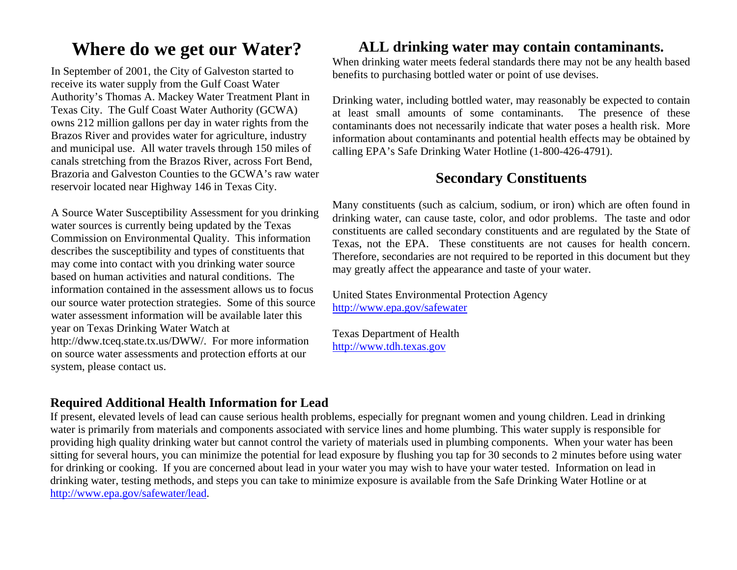# **Where do we get our Water?**

In September of 2001, the City of Galveston started to receive its water supply from the Gulf Coast Water Authority's Thomas A. Mackey Water Treatment Plant in Texas City. The Gulf Coast Water Authority (GCWA) owns 212 million gallons per day in water rights from the Brazos River and provides water for agriculture, industry and municipal use. All water travels through 150 miles of canals stretching from the Brazos River, across Fort Bend, Brazoria and Galveston Counties to the GCWA's raw water reservoir located near Highway 146 in Texas City.

A Source Water Susceptibility Assessment for you drinking water sources is currently being updated by the Texas Commission on Environmental Quality. This information describes the susceptibility and types of constituents that may come into contact with you drinking water source based on human activities and natural conditions. The information contained in the assessment allows us to focus our source water protection strategies. Some of this source water assessment information will be available later this year on Texas Drinking Water Watch at http://dww.tceq.state.tx.us/DWW/. For more information on source water assessments and protection efforts at our system, please contact us.

# **ALL drinking water may contain contaminants.**

When drinking water meets federal standards there may not be any health based benefits to purchasing bottled water or point of use devises.

Drinking water, including bottled water, may reasonably be expected to contain at least small amounts of some contaminants. The presence of these contaminants does not necessarily indicate that water poses a health risk. More information about contaminants and potential health effects may be obtained by calling EPA's Safe Drinking Water Hotline (1-800-426-4791).

# **Secondary Constituents**

Many constituents (such as calcium, sodium, or iron) which are often found in drinking water, can cause taste, color, and odor problems. The taste and odor constituents are called secondary constituents and are regulated by the State of Texas, not the EPA. These constituents are not causes for health concern. Therefore, secondaries are not required to be reported in this document but they may greatly affect the appearance and taste of your water.

United States Environmental Protection Agency http://www.epa.gov/safewater

Texas Department of Health http://www.tdh.texas.gov

# **Required Additional Health Information for Lead**

If present, elevated levels of lead can cause serious health problems, especially for pregnant women and young children. Lead in drinking water is primarily from materials and components associated with service lines and home plumbing. This water supply is responsible for providing high quality drinking water but cannot control the variety of materials used in plumbing components. When your water has been sitting for several hours, you can minimize the potential for lead exposure by flushing you tap for 30 seconds to 2 minutes before using water for drinking or cooking. If you are concerned about lead in your water you may wish to have your water tested. Information on lead in drinking water, testing methods, and steps you can take to minimize exposure is available from the Safe Drinking Water Hotline or at http://www.epa.gov/safewater/lead.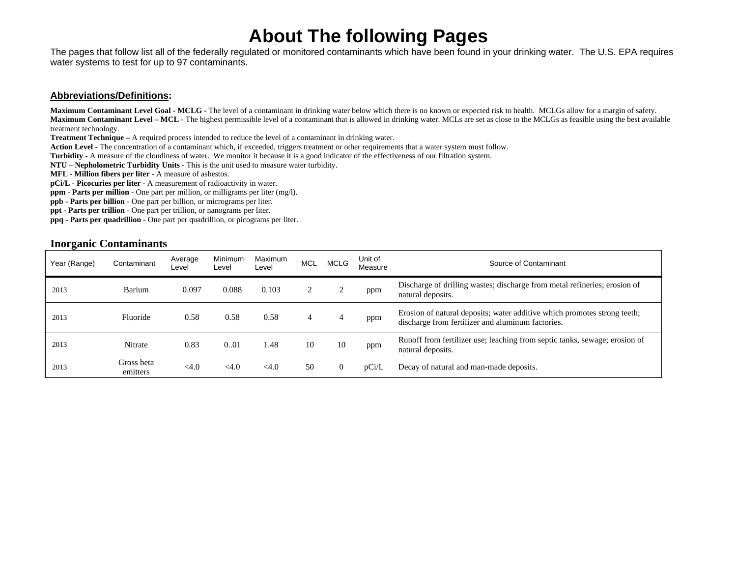# **About The following Pages**

The pages that follow list all of the federally regulated or monitored contaminants which have been found in your drinking water. The U.S. EPA requires water systems to test for up to 97 contaminants.

#### **Abbreviations/Definitions:**

**Maximum Contaminant Level Goal - MCLG -** The level of a contaminant in drinking water below which there is no known or expected risk to health. MCLGs allow for a margin of safety. **Maximum Contaminant Level – MCL -** The highest permissible level of a contaminant that is allowed in drinking water. MCLs are set as close to the MCLGs as feasible using the best available treatment technology.

**Treatment Technique –** A required process intended to reduce the level of a contaminant in drinking water.

Action Level - The concentration of a contaminant which, if exceeded, triggers treatment or other requirements that a water system must follow.

**Turbidity -** A measure of the cloudiness of water. We monitor it because it is a good indicator of the effectiveness of our filtration system.

**NTU – Nepholometric Turbidity Units -** This is the unit used to measure water turbidity.

**MFL - Million fibers per liter -** A measure of asbestos.

**pCi/L** - **Picocuries per liter -** A measurement of radioactivity in water.

**ppm - Parts per million** - One part per million, or milligrams per liter (mg/l).

**ppb - Parts per billion** - One part per billion, or micrograms per liter.

**ppt - Parts per trillion** - One part per trillion, or nanograms per liter.

**ppq - Parts per quadrillion** - One part per quadrillion, or picograms per liter.

#### **Inorganic Contaminants**

| Year (Range) | Contaminant            | Average<br>∟evel | Minimum<br>Level | Maximum<br>Level | <b>MCL</b> | MCLG | Unit of<br>Measure | Source of Contaminant                                                                                                         |
|--------------|------------------------|------------------|------------------|------------------|------------|------|--------------------|-------------------------------------------------------------------------------------------------------------------------------|
| 2013         | Barium                 | 0.097            | 0.088            | 0.103            |            |      | ppm                | Discharge of drilling wastes; discharge from metal refineries; erosion of<br>natural deposits.                                |
| 2013         | Fluoride               | 0.58             | 0.58             | 0.58             |            |      | ppm                | Erosion of natural deposits; water additive which promotes strong teeth;<br>discharge from fertilizer and aluminum factories. |
| 2013         | <b>Nitrate</b>         | 0.83             | 0.01             | 1.48             | 10         | 10   | ppm                | Runoff from fertilizer use; leaching from septic tanks, sewage; erosion of<br>natural deposits.                               |
| 2013         | Gross beta<br>emitters | $<$ 4.0          | $<$ 4.0          | < 4.0            | 50         |      | pCi/L              | Decay of natural and man-made deposits.                                                                                       |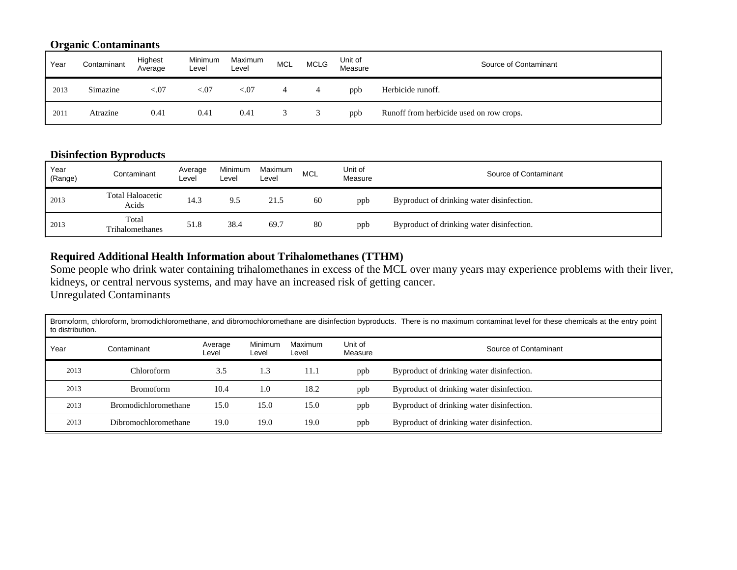# **Organic Contaminants**

| Year | Contaminant | Highest<br>Average | Minimum<br>Level | Maximum<br>Level | <b>MCL</b> | <b>MCLG</b> | Unit of<br>Measure | Source of Contaminant                    |
|------|-------------|--------------------|------------------|------------------|------------|-------------|--------------------|------------------------------------------|
| 2013 | Simazine    | < 0.07             | < 07             | ${<}07$          |            |             | ppb                | Herbicide runoff.                        |
| 2011 | Atrazine    | 0.41               | 0.41             | 0.41             |            |             | ppb                | Runoff from herbicide used on row crops. |

# **Disinfection Byproducts**

| Year<br>(Range) | Contaminant                      | Average<br>Level | Minimum<br>Level | Maximum<br>Level | MCL | Unit of<br>Measure | Source of Contaminant                     |
|-----------------|----------------------------------|------------------|------------------|------------------|-----|--------------------|-------------------------------------------|
| 2013            | <b>Total Haloacetic</b><br>Acids | 14.3             | 9.5              | 21.5             | 60  | ppb                | Byproduct of drinking water disinfection. |
| 2013            | Total<br>Trihalomethanes         | 51.8             | 38.4             | 69.7             | 80  | ppb                | Byproduct of drinking water disinfection. |

# **Required Additional Health Information about Trihalomethanes (TTHM)**

Some people who drink water containing trihalomethanes in excess of the MCL over many years may experience problems with their liver, kidneys, or central nervous systems, and may have an increased risk of getting cancer. Unregulated Contaminants

| Bromoform, chloroform, bromodichloromethane, and dibromochloromethane are disinfection byproducts. There is no maximum contaminat level for these chemicals at the entry point<br>to distribution. |                             |                  |                  |                  |                    |                                           |  |  |  |  |  |
|----------------------------------------------------------------------------------------------------------------------------------------------------------------------------------------------------|-----------------------------|------------------|------------------|------------------|--------------------|-------------------------------------------|--|--|--|--|--|
| Year                                                                                                                                                                                               | Contaminant                 | Average<br>Level | Minimum<br>Level | Maximum<br>Level | Unit of<br>Measure | Source of Contaminant                     |  |  |  |  |  |
| 2013                                                                                                                                                                                               | Chloroform                  | 3.5              | 1.3              | 11.1             | ppb                | Byproduct of drinking water disinfection. |  |  |  |  |  |
| 2013                                                                                                                                                                                               | <b>Bromoform</b>            | 10.4             | 1.0              | 18.2             | ppb                | Byproduct of drinking water disinfection. |  |  |  |  |  |
| 2013                                                                                                                                                                                               | <b>Bromodichloromethane</b> | 15.0             | 15.0             | 15.0             | ppb                | Byproduct of drinking water disinfection. |  |  |  |  |  |
| 2013                                                                                                                                                                                               | <b>Dibromochloromethane</b> | 19.0             | 19.0             | 19.0             | ppb                | Byproduct of drinking water disinfection. |  |  |  |  |  |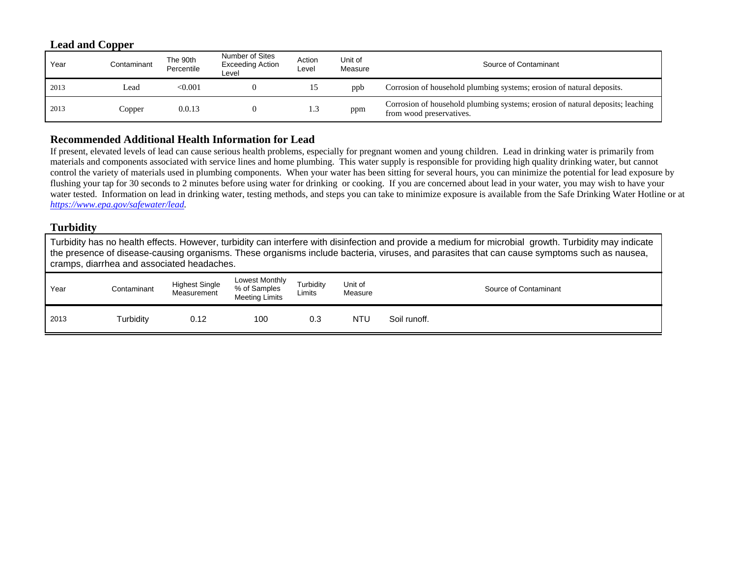### **Lead and Copper**

| Year | Contaminant | The 90th<br>Percentile | Number of Sites<br><b>Exceeding Action</b><br>Level | Action<br>Level | Unit of<br>Measure | Source of Contaminant                                                                                      |
|------|-------------|------------------------|-----------------------------------------------------|-----------------|--------------------|------------------------------------------------------------------------------------------------------------|
| 2013 | Lead        | < 0.001                |                                                     |                 | ppb                | Corrosion of household plumbing systems; erosion of natural deposits.                                      |
| 2013 | Copper      | 0.0.13                 |                                                     | 1.3             | ppm                | Corrosion of household plumbing systems; erosion of natural deposits; leaching<br>from wood preservatives. |

### **Recommended Additional Health Information for Lead**

If present, elevated levels of lead can cause serious health problems, especially for pregnant women and young children. Lead in drinking water is primarily from materials and components associated with service lines and home plumbing. This water supply is responsible for providing high quality drinking water, but cannot control the variety of materials used in plumbing components. When your water has been sitting for several hours, you can minimize the potential for lead exposure by flushing your tap for 30 seconds to 2 minutes before using water for drinking or cooking. If you are concerned about lead in your water, you may wish to have your water tested. Information on lead in drinking water, testing methods, and steps you can take to minimize exposure is available from the Safe Drinking Water Hotline or at *https://www.epa.gov/safewater/lead.* 

### **Turbidity**

Turbidity has no health effects. However, turbidity can interfere with disinfection and provide a medium for microbial growth. Turbidity may indicate the presence of disease-causing organisms. These organisms include bacteria, viruses, and parasites that can cause symptoms such as nausea, cramps, diarrhea and associated headaches.

| Year | Contaminant | <b>Highest Single</b><br>Measurement | Lowest Monthly<br>% of Samples<br><b>Meeting Limits</b> | Turbidity<br>Limits | Unit of<br>Measure |              | Source of Contaminant |
|------|-------------|--------------------------------------|---------------------------------------------------------|---------------------|--------------------|--------------|-----------------------|
| 2013 | Turbidity   | 0.12                                 | 100                                                     | 0.3                 | NTU                | Soil runoff. |                       |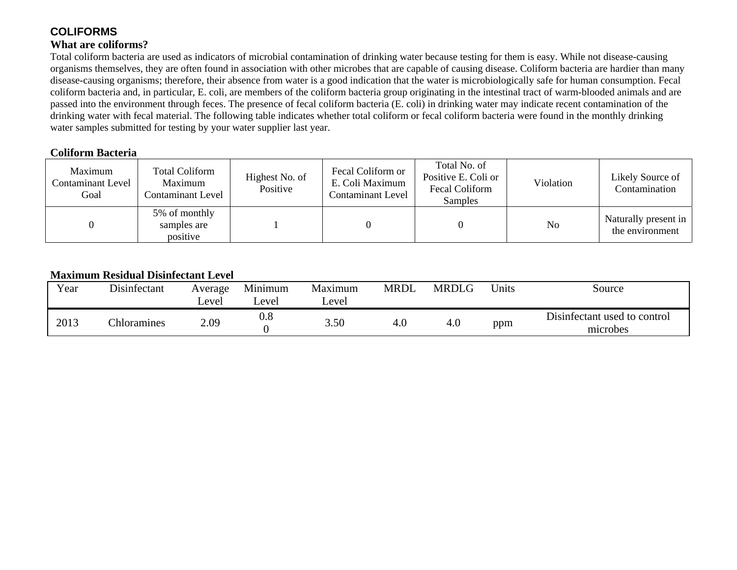# **COLIFORMS**

### **What are coliforms?**

Total coliform bacteria are used as indicators of microbial contamination of drinking water because testing for them is easy. While not disease-causing organisms themselves, they are often found in association with other microbes that are capable of causing disease. Coliform bacteria are hardier than many disease-causing organisms; therefore, their absence from water is a good indication that the water is microbiologically safe for human consumption. Fecal coliform bacteria and, in particular, E. coli, are members of the coliform bacteria group originating in the intestinal tract of warm-blooded animals and are passed into the environment through feces. The presence of fecal coliform bacteria (E. coli) in drinking water may indicate recent contamination of the drinking water with fecal material. The following table indicates whether total coliform or fecal coliform bacteria were found in the monthly drinking water samples submitted for testing by your water supplier last year.

### **Coliform Bacteria**

| Maximum<br><b>Contaminant Level</b><br>Goal | <b>Total Coliform</b><br>Maximum<br><b>Contaminant Level</b> | Highest No. of<br>Positive | Fecal Coliform or<br>E. Coli Maximum<br><b>Contaminant Level</b> | Total No. of<br>Positive E. Coli or<br>Fecal Coliform<br>Samples | Violation | Likely Source of<br>Contamination       |
|---------------------------------------------|--------------------------------------------------------------|----------------------------|------------------------------------------------------------------|------------------------------------------------------------------|-----------|-----------------------------------------|
|                                             | 5% of monthly<br>samples are<br>positive                     |                            |                                                                  |                                                                  | No        | Naturally present in<br>the environment |

# **Maximum Residual Disinfectant Level**

| Year | Disinfectant | Average<br>Level | Minimum<br>∟evel | Maximum<br>Level | <b>MRDL</b> | <b>MRDLG</b> | <b>Units</b> | Source                                   |
|------|--------------|------------------|------------------|------------------|-------------|--------------|--------------|------------------------------------------|
| 2013 | Chloramines  | 2.09             | $_{0.8}$         | 3.50             | 4.0         | 4.0          | ppm          | Disinfectant used to control<br>microbes |